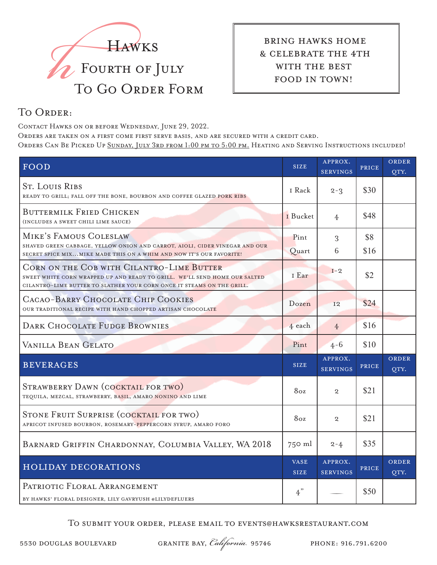

 bring hawks home & celebrate the 4th with the best food in town!

## TO ORDER:

Contact Hawks on or before Wednesday, June 29, 2022.

Orders are taken on a first come first serve basis, and are secured with a credit card. Orders Can Be Picked Up Sunday, July 3rd from 1:00 pm to 5:00 pm. Heating and Serving Instructions included!

| FOOD                                                                                                                                                                                              | <b>SIZE</b>                | APPROX.<br><b>SERVINGS</b> | PRICE        | ORDER<br>QTY. |
|---------------------------------------------------------------------------------------------------------------------------------------------------------------------------------------------------|----------------------------|----------------------------|--------------|---------------|
| <b>ST. LOUIS RIBS</b><br>READY TO GRILL; FALL OFF THE BONE, BOURBON AND COFFEE GLAZED PORK RIBS                                                                                                   | I Rack                     | $2 - 3$                    | \$30         |               |
| <b>BUTTERMILK FRIED CHICKEN</b><br>(INCLUDES A SWEET CHILI LIME SAUCE)                                                                                                                            | I Bucket                   | 4                          | \$48         |               |
| MIKE'S FAMOUS COLESLAW<br>SHAVED GREEN CABBAGE, YELLOW ONION AND CARROT, AIOLI, CIDER VINEGAR AND OUR<br>SECRET SPICE MIXMIKE MADE THIS ON A WHIM AND NOW IT'S OUR FAVORITE!                      | Pint<br>Quart              | 3<br>6                     | \$8<br>\$16  |               |
| CORN ON THE COB WITH CILANTRO-LIME BUTTER<br>SWEET WHITE CORN WRAPPED UP AND READY TO GRILL. WE'LL SEND HOME OUR SALTED<br>CILANTRO-LIME BUTTER TO SLATHER YOUR CORN ONCE IT STEAMS ON THE GRILL. | I Ear                      | $I-2$                      | \$2          |               |
| CACAO-BARRY CHOCOLATE CHIP COOKIES<br>OUR TRADITIONAL RECIPE WITH HAND CHOPPED ARTISAN CHOCOLATE                                                                                                  | Dozen                      | <b>I2</b>                  | \$24         |               |
| <b>DARK CHOCOLATE FUDGE BROWNIES</b>                                                                                                                                                              | 4 each                     | $\overline{4}$             | \$16         |               |
| VANILLA BEAN GELATO                                                                                                                                                                               | Pint                       | $4 - 6$                    | \$10         |               |
| <b>BEVERAGES</b>                                                                                                                                                                                  | <b>SIZE</b>                | APPROX.<br><b>SERVINGS</b> | PRICE        | ORDER<br>QTY. |
| STRAWBERRY DAWN (COCKTAIL FOR TWO)<br>TEQUILA, MEZCAL, STRAWBERRY, BASIL, AMARO NONINO AND LIME                                                                                                   | 8oz                        | $\mathbf{2}$               | \$21         |               |
| STONE FRUIT SURPRISE (COCKTAIL FOR TWO)<br>APRICOT INFUSED BOURBON, ROSEMARY-PEPPERCORN SYRUP, AMARO FORO                                                                                         | 8oz                        | $\mathbf{2}$               | \$21         |               |
| BARNARD GRIFFIN CHARDONNAY, COLUMBIA VALLEY, WA 2018                                                                                                                                              | $750$ ml                   | $2 - 4$                    | \$35         |               |
| <b>HOLIDAY DECORATIONS</b>                                                                                                                                                                        | <b>VASE</b><br><b>SIZE</b> | APPROX.<br><b>SERVINGS</b> | <b>PRICE</b> | ORDER<br>QTY. |
| PATRIOTIC FLORAL ARRANGEMENT<br>BY HAWKS' FLORAL DESIGNER, LILY GAVRYUSH @LILYDEFLUERS                                                                                                            | 4"                         |                            | \$50         |               |

To submit your order, please email to events@hawksrestaurant.com